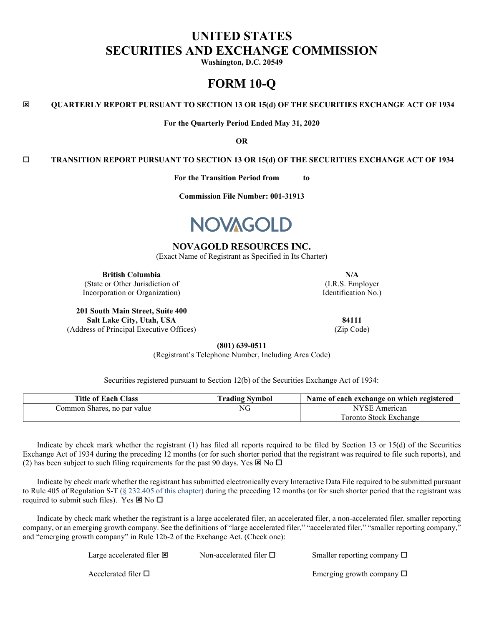# **UNITED STATES SECURITIES AND EXCHANGE COMMISSION**

**Washington, D.C. 20549**

# **FORM 10-Q**

**QUARTERLY REPORT PURSUANT TO SECTION 13 OR 15(d) OF THE SECURITIES EXCHANGE ACT OF 1934**

**For the Quarterly Period Ended May 31, 2020**

**OR**

**TRANSITION REPORT PURSUANT TO SECTION 13 OR 15(d) OF THE SECURITIES EXCHANGE ACT OF 1934**

**For the Transition Period from to**

**Commission File Number: 001-31913**



# **NOVAGOLD RESOURCES INC.**

(Exact Name of Registrant as Specified in Its Charter)

**British Columbia N/A** (State or Other Jurisdiction of

Incorporation or Organization)

**201 South Main Street, Suite 400 Salt Lake City, Utah, USA 84111** (Address of Principal Executive Offices) (Zip Code)

(I.R.S. Employer Identification No.)

**(801) 639-0511**

(Registrant's Telephone Number, Including Area Code)

Securities registered pursuant to Section 12(b) of the Securities Exchange Act of 1934:

| <b>Title of Each Class</b>  | <b>Trading Symbol</b> | Name of each exchange on which registered |
|-----------------------------|-----------------------|-------------------------------------------|
| Common Shares, no par value | NG                    | NYSE American                             |
|                             |                       | Foronto Stock Exchange                    |

Indicate by check mark whether the registrant (1) has filed all reports required to be filed by Section 13 or 15(d) of the Securities Exchange Act of 1934 during the preceding 12 months (or for such shorter period that the registrant was required to file such reports), and (2) has been subject to such filing requirements for the past 90 days. Yes  $\boxtimes$  No  $\square$ 

Indicate by check mark whether the registrant has submitted electronically every Interactive Data File required to be submitted pursuant to Rule 405 of Regulation S-T (§ 232.405 of this chapter) during the preceding 12 months (or for such shorter period that the registrant was required to submit such files). Yes  $\boxtimes$  No  $\square$ 

Indicate by check mark whether the registrant is a large accelerated filer, an accelerated filer, a non-accelerated filer, smaller reporting company, or an emerging growth company. See the definitions of "large accelerated filer," "accelerated filer," "smaller reporting company," and "emerging growth company" in Rule 12b-2 of the Exchange Act. (Check one):

| Large accelerated filer <b>E</b> | Non-accelerated filer $\square$ | Smaller reporting company $\Box$ |
|----------------------------------|---------------------------------|----------------------------------|
| Accelerated filer $\Box$         |                                 | Emerging growth company $\Box$   |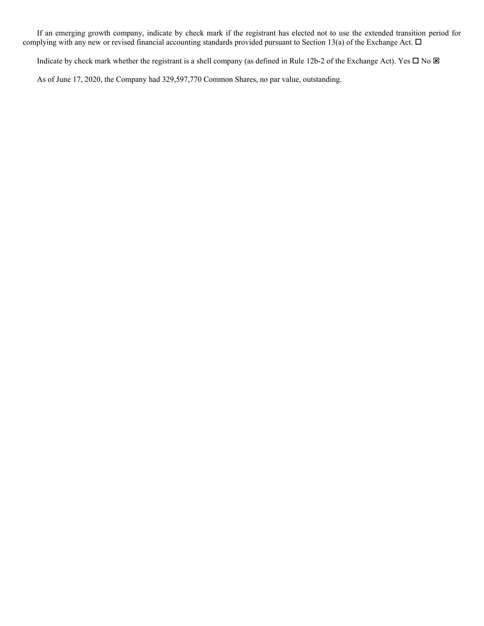If an emerging growth company, indicate by check mark if the registrant has elected not to use the extended transition period for complying with any new or revised financial accounting standards provided pursuant to Section 13(a) of the Exchange Act.  $\Box$ 

Indicate by check mark whether the registrant is a shell company (as defined in Rule 12b-2 of the Exchange Act). Yes  $\Box$  No  $\boxtimes$ 

As of June 17, 2020, the Company had 329,597,770 Common Shares, no par value, outstanding.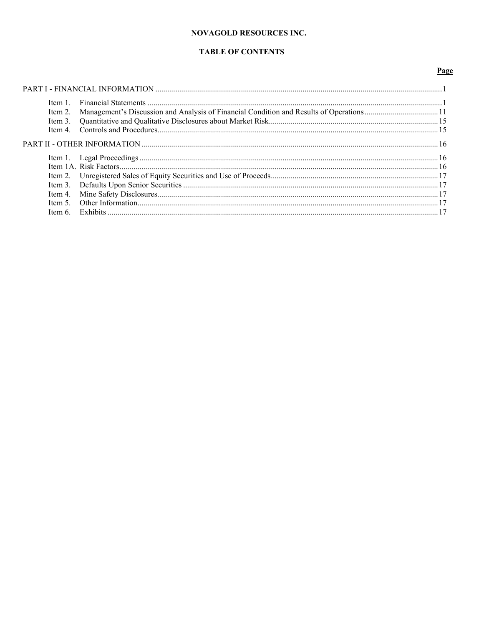# **NOVAGOLD RESOURCES INC.**

# **TABLE OF CONTENTS**

# Page

| Item 2. Management's Discussion and Analysis of Financial Condition and Results of Operations11 |  |
|-------------------------------------------------------------------------------------------------|--|
|                                                                                                 |  |
|                                                                                                 |  |
|                                                                                                 |  |
|                                                                                                 |  |
|                                                                                                 |  |
|                                                                                                 |  |
|                                                                                                 |  |
|                                                                                                 |  |
|                                                                                                 |  |
|                                                                                                 |  |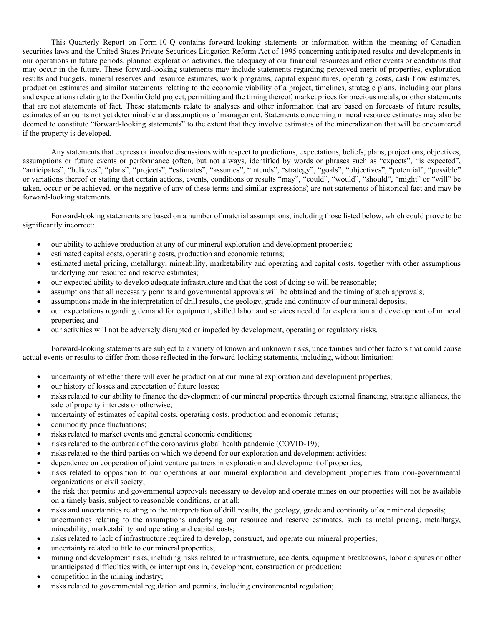This Quarterly Report on Form 10-Q contains forward-looking statements or information within the meaning of Canadian securities laws and the United States Private Securities Litigation Reform Act of 1995 concerning anticipated results and developments in our operations in future periods, planned exploration activities, the adequacy of our financial resources and other events or conditions that may occur in the future. These forward-looking statements may include statements regarding perceived merit of properties, exploration results and budgets, mineral reserves and resource estimates, work programs, capital expenditures, operating costs, cash flow estimates, production estimates and similar statements relating to the economic viability of a project, timelines, strategic plans, including our plans and expectations relating to the Donlin Gold project, permitting and the timing thereof, market prices for precious metals, or other statements that are not statements of fact. These statements relate to analyses and other information that are based on forecasts of future results, estimates of amounts not yet determinable and assumptions of management. Statements concerning mineral resource estimates may also be deemed to constitute "forward-looking statements" to the extent that they involve estimates of the mineralization that will be encountered if the property is developed.

Any statements that express or involve discussions with respect to predictions, expectations, beliefs, plans, projections, objectives, assumptions or future events or performance (often, but not always, identified by words or phrases such as "expects", "is expected", "anticipates", "believes", "plans", "projects", "estimates", "assumes", "intends", "strategy", "goals", "objectives", "potential", "possible" or variations thereof or stating that certain actions, events, conditions or results "may", "could", "would", "should", "might" or "will" be taken, occur or be achieved, or the negative of any of these terms and similar expressions) are not statements of historical fact and may be forward-looking statements.

Forward-looking statements are based on a number of material assumptions, including those listed below, which could prove to be significantly incorrect:

- our ability to achieve production at any of our mineral exploration and development properties;
- estimated capital costs, operating costs, production and economic returns;
- estimated metal pricing, metallurgy, mineability, marketability and operating and capital costs, together with other assumptions underlying our resource and reserve estimates;
- our expected ability to develop adequate infrastructure and that the cost of doing so will be reasonable;
- assumptions that all necessary permits and governmental approvals will be obtained and the timing of such approvals;
- assumptions made in the interpretation of drill results, the geology, grade and continuity of our mineral deposits;
- our expectations regarding demand for equipment, skilled labor and services needed for exploration and development of mineral properties; and
- our activities will not be adversely disrupted or impeded by development, operating or regulatory risks.

Forward-looking statements are subject to a variety of known and unknown risks, uncertainties and other factors that could cause actual events or results to differ from those reflected in the forward-looking statements, including, without limitation:

- uncertainty of whether there will ever be production at our mineral exploration and development properties;
- our history of losses and expectation of future losses;
- risks related to our ability to finance the development of our mineral properties through external financing, strategic alliances, the sale of property interests or otherwise;
- uncertainty of estimates of capital costs, operating costs, production and economic returns;
- commodity price fluctuations;
- risks related to market events and general economic conditions;
- risks related to the outbreak of the coronavirus global health pandemic (COVID-19);
- risks related to the third parties on which we depend for our exploration and development activities;
- dependence on cooperation of joint venture partners in exploration and development of properties;
- risks related to opposition to our operations at our mineral exploration and development properties from non-governmental organizations or civil society;
- the risk that permits and governmental approvals necessary to develop and operate mines on our properties will not be available on a timely basis, subject to reasonable conditions, or at all;
- risks and uncertainties relating to the interpretation of drill results, the geology, grade and continuity of our mineral deposits;
- uncertainties relating to the assumptions underlying our resource and reserve estimates, such as metal pricing, metallurgy, mineability, marketability and operating and capital costs;
- risks related to lack of infrastructure required to develop, construct, and operate our mineral properties;
- uncertainty related to title to our mineral properties;
- mining and development risks, including risks related to infrastructure, accidents, equipment breakdowns, labor disputes or other unanticipated difficulties with, or interruptions in, development, construction or production;
- competition in the mining industry;
- risks related to governmental regulation and permits, including environmental regulation;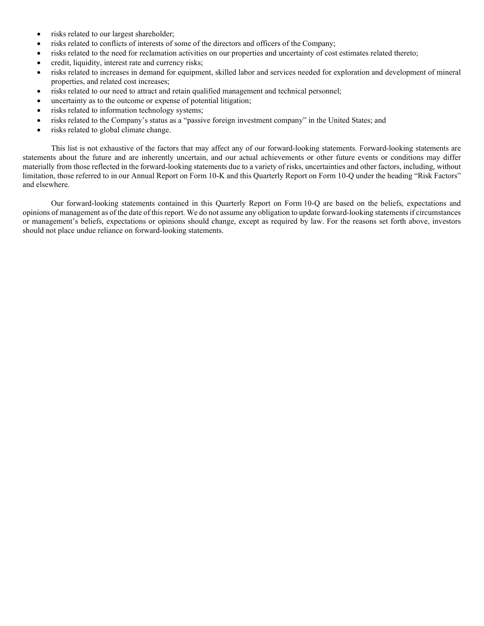- risks related to our largest shareholder;
- risks related to conflicts of interests of some of the directors and officers of the Company;
- risks related to the need for reclamation activities on our properties and uncertainty of cost estimates related thereto;
- credit, liquidity, interest rate and currency risks;
- risks related to increases in demand for equipment, skilled labor and services needed for exploration and development of mineral properties, and related cost increases;
- risks related to our need to attract and retain qualified management and technical personnel;
- uncertainty as to the outcome or expense of potential litigation;
- risks related to information technology systems;
- risks related to the Company's status as a "passive foreign investment company" in the United States; and
- risks related to global climate change.

This list is not exhaustive of the factors that may affect any of our forward-looking statements. Forward-looking statements are statements about the future and are inherently uncertain, and our actual achievements or other future events or conditions may differ materially from those reflected in the forward-looking statements due to a variety of risks, uncertainties and other factors, including, without limitation, those referred to in our Annual Report on Form 10-K and this Quarterly Report on Form 10-Q under the heading "Risk Factors" and elsewhere.

Our forward-looking statements contained in this Quarterly Report on Form 10-Q are based on the beliefs, expectations and opinions of management as of the date of this report. We do not assume any obligation to update forward-looking statements if circumstances or management's beliefs, expectations or opinions should change, except as required by law. For the reasons set forth above, investors should not place undue reliance on forward-looking statements.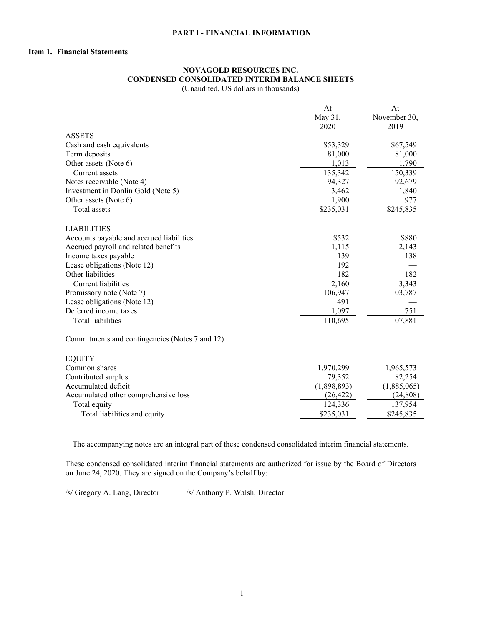### <span id="page-5-0"></span>**PART I - FINANCIAL INFORMATION**

# <span id="page-5-1"></span>**Item 1. Financial Statements**

# **NOVAGOLD RESOURCES INC. CONDENSED CONSOLIDATED INTERIM BALANCE SHEETS**

(Unaudited, US dollars in thousands)

|                                                | At          | At           |
|------------------------------------------------|-------------|--------------|
|                                                | May 31,     | November 30, |
|                                                | 2020        | 2019         |
| <b>ASSETS</b>                                  |             |              |
| Cash and cash equivalents                      | \$53,329    | \$67,549     |
| Term deposits                                  | 81,000      | 81,000       |
| Other assets (Note 6)                          | 1,013       | 1,790        |
| Current assets                                 | 135,342     | 150,339      |
| Notes receivable (Note 4)                      | 94,327      | 92,679       |
| Investment in Donlin Gold (Note 5)             | 3,462       | 1,840        |
| Other assets (Note 6)                          | 1,900       | 977          |
| Total assets                                   | \$235,031   | \$245,835    |
| <b>LIABILITIES</b>                             |             |              |
| Accounts payable and accrued liabilities       | \$532       | \$880        |
| Accrued payroll and related benefits           | 1,115       | 2,143        |
| Income taxes payable                           | 139         | 138          |
| Lease obligations (Note 12)                    | 192         |              |
| Other liabilities                              | 182         | 182          |
| <b>Current liabilities</b>                     | 2,160       | 3,343        |
| Promissory note (Note 7)                       | 106,947     | 103,787      |
| Lease obligations (Note 12)                    | 491         |              |
| Deferred income taxes                          | 1,097       | 751          |
| <b>Total liabilities</b>                       | 110,695     | 107,881      |
| Commitments and contingencies (Notes 7 and 12) |             |              |
| <b>EQUITY</b>                                  |             |              |
| Common shares                                  | 1,970,299   | 1,965,573    |
| Contributed surplus                            | 79,352      | 82,254       |
| Accumulated deficit                            | (1,898,893) | (1,885,065)  |
| Accumulated other comprehensive loss           | (26, 422)   | (24, 808)    |
| Total equity                                   | 124,336     | 137,954      |
| Total liabilities and equity                   | \$235,031   | \$245,835    |
|                                                |             |              |

The accompanying notes are an integral part of these condensed consolidated interim financial statements.

These condensed consolidated interim financial statements are authorized for issue by the Board of Directors on June 24, 2020. They are signed on the Company's behalf by:

/s/ Gregory A. Lang, Director /s/ Anthony P. Walsh, Director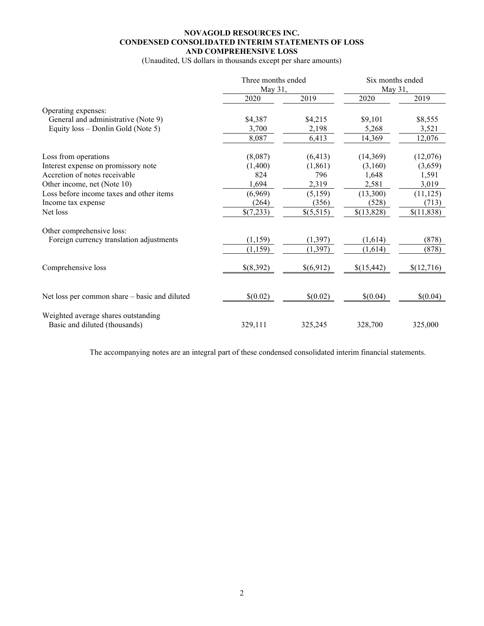# **NOVAGOLD RESOURCES INC. CONDENSED CONSOLIDATED INTERIM STATEMENTS OF LOSS AND COMPREHENSIVE LOSS**

(Unaudited, US dollars in thousands except per share amounts)

|                                                                      | Three months ended<br>May 31, |           | Six months ended<br>May 31, |            |
|----------------------------------------------------------------------|-------------------------------|-----------|-----------------------------|------------|
|                                                                      | 2020                          | 2019      | 2020                        | 2019       |
| Operating expenses:                                                  |                               |           |                             |            |
| General and administrative (Note 9)                                  | \$4,387                       | \$4,215   | \$9,101                     | \$8,555    |
| Equity loss – Donlin Gold (Note 5)                                   | 3,700                         | 2,198     | 5,268                       | 3,521      |
|                                                                      | 8,087                         | 6,413     | 14,369                      | 12,076     |
| Loss from operations                                                 | (8,087)                       | (6, 413)  | (14,369)                    | (12,076)   |
| Interest expense on promissory note                                  | (1,400)                       | (1, 861)  | (3,160)                     | (3,659)    |
| Accretion of notes receivable                                        | 824                           | 796       | 1,648                       | 1,591      |
| Other income, net (Note 10)                                          | 1,694                         | 2,319     | 2,581                       | 3,019      |
| Loss before income taxes and other items                             | (6,969)                       | (5,159)   | (13,300)                    | (11, 125)  |
| Income tax expense                                                   | (264)                         | (356)     | (528)                       | (713)      |
| Net loss                                                             | \$(7,233)                     | \$(5,515) | \$(13,828)                  | \$(11,838) |
| Other comprehensive loss:                                            |                               |           |                             |            |
| Foreign currency translation adjustments                             | (1, 159)                      | (1, 397)  | (1,614)                     | (878)      |
|                                                                      | (1,159)                       | (1, 397)  | (1,614)                     | (878)      |
| Comprehensive loss                                                   | \$(8,392)                     | \$(6,912) | \$(15,442)                  | \$(12,716) |
| Net loss per common share - basic and diluted                        | \$(0.02)                      | \$(0.02)  | \$(0.04)                    | \$(0.04)   |
| Weighted average shares outstanding<br>Basic and diluted (thousands) | 329,111                       | 325,245   | 328,700                     | 325,000    |

The accompanying notes are an integral part of these condensed consolidated interim financial statements.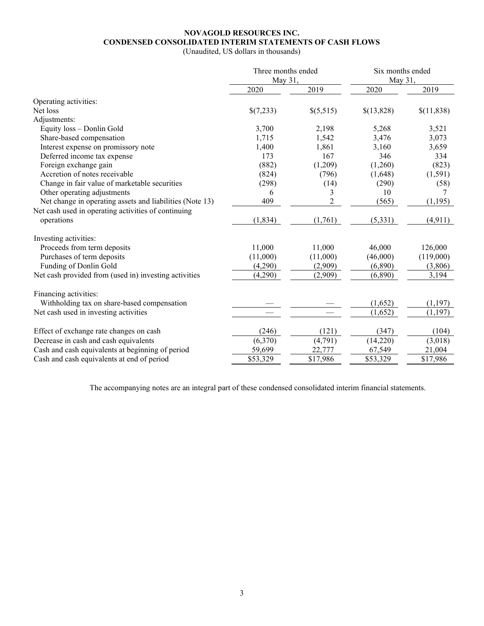# **NOVAGOLD RESOURCES INC. CONDENSED CONSOLIDATED INTERIM STATEMENTS OF CASH FLOWS**

(Unaudited, US dollars in thousands)

|                                                          | Three months ended |                   | Six months ended<br>May 31, |            |
|----------------------------------------------------------|--------------------|-------------------|-----------------------------|------------|
|                                                          | May 31,            |                   |                             |            |
|                                                          | 2020               | 2019              | 2020                        | 2019       |
| Operating activities:                                    |                    |                   |                             |            |
| Net loss                                                 | \$(7,233)          | \$(5,515)         | \$(13,828)                  | \$(11,838) |
| Adjustments:                                             |                    |                   |                             |            |
| Equity loss - Donlin Gold                                | 3,700              | 2,198             | 5,268                       | 3,521      |
| Share-based compensation                                 | 1,715              | 1,542             | 3,476                       | 3,073      |
| Interest expense on promissory note                      | 1,400              | 1,861             | 3,160                       | 3,659      |
| Deferred income tax expense                              | 173                | 167               | 346                         | 334        |
| Foreign exchange gain                                    | (882)              | (1,209)           | (1,260)                     | (823)      |
| Accretion of notes receivable                            | (824)              | (796)             | (1,648)                     | (1, 591)   |
| Change in fair value of marketable securities            | (298)              | (14)              | (290)                       | (58)       |
| Other operating adjustments                              | 6                  | 3                 | 10                          |            |
| Net change in operating assets and liabilities (Note 13) | 409                | $\overline{2}$    | (565)                       | (1, 195)   |
| Net cash used in operating activities of continuing      |                    |                   |                             |            |
| operations                                               | (1, 834)           | (1,761)           | (5,331)                     | (4, 911)   |
| Investing activities:                                    |                    |                   |                             |            |
| Proceeds from term deposits                              | 11,000             | 11,000            | 46,000                      | 126,000    |
| Purchases of term deposits                               | (11,000)           | (11,000)          | (46,000)                    | (119,000)  |
| Funding of Donlin Gold                                   | (4,290)            | (2,909)           | (6,890)                     | (3,806)    |
| Net cash provided from (used in) investing activities    | (4,290)            | (2,909)           | (6,890)                     | 3,194      |
| Financing activities:                                    |                    |                   |                             |            |
| Withholding tax on share-based compensation              |                    |                   | (1,652)                     | (1, 197)   |
| Net cash used in investing activities                    |                    |                   | (1,652)                     | (1, 197)   |
| Effect of exchange rate changes on cash                  | (246)              | (121)             | (347)                       | (104)      |
| Decrease in cash and cash equivalents                    | (6,370)            |                   | (14,220)                    | (3,018)    |
| Cash and cash equivalents at beginning of period         | 59,699             | (4,791)<br>22,777 | 67,549                      | 21,004     |
|                                                          |                    |                   |                             |            |
| Cash and cash equivalents at end of period               | \$53,329           | \$17,986          | \$53,329                    | \$17,986   |

The accompanying notes are an integral part of these condensed consolidated interim financial statements.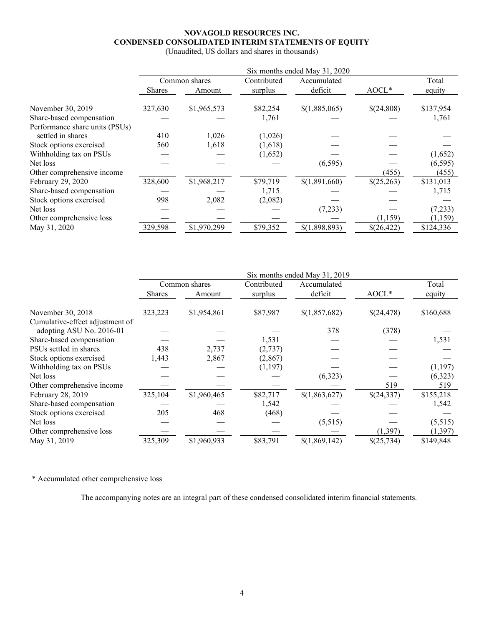# **NOVAGOLD RESOURCES INC. CONDENSED CONSOLIDATED INTERIM STATEMENTS OF EQUITY**

(Unaudited, US dollars and shares in thousands)

|                                | Six months ended May 31, 2020 |               |             |               |            |           |
|--------------------------------|-------------------------------|---------------|-------------|---------------|------------|-----------|
|                                |                               | Common shares | Contributed | Accumulated   |            | Total     |
|                                | <b>Shares</b>                 | Amount        | surplus     | deficit       | $A OCL*$   | equity    |
| November 30, 2019              | 327,630                       | \$1,965,573   | \$82,254    | \$(1,885,065) | \$(24,808) | \$137,954 |
| Share-based compensation       |                               |               | 1,761       |               |            | 1,761     |
| Performance share units (PSUs) |                               |               |             |               |            |           |
| settled in shares              | 410                           | 1,026         | (1,026)     |               |            |           |
| Stock options exercised        | 560                           | 1,618         | (1,618)     |               |            |           |
| Withholding tax on PSUs        |                               |               | (1,652)     |               |            | (1,652)   |
| Net loss                       |                               |               |             | (6, 595)      |            | (6, 595)  |
| Other comprehensive income     |                               |               |             |               | (455)      | (455)     |
| February 29, 2020              | 328,600                       | \$1,968,217   | \$79,719    | \$(1,891,660) | \$(25,263) | \$131,013 |
| Share-based compensation       |                               |               | 1,715       |               |            | 1,715     |
| Stock options exercised        | 998                           | 2,082         | (2,082)     |               |            |           |
| Net loss                       |                               |               |             | (7,233)       |            | (7, 233)  |
| Other comprehensive loss       |                               |               |             |               | (1,159)    | (1, 159)  |
| May 31, 2020                   | 329,598                       | \$1,970,299   | \$79,352    | \$(1,898,893) | \$(26,422) | \$124,336 |

|                                 | Six months ended May 31, 2019 |               |             |               |            |           |
|---------------------------------|-------------------------------|---------------|-------------|---------------|------------|-----------|
|                                 |                               | Common shares | Contributed | Accumulated   |            | Total     |
|                                 | Shares                        | Amount        | surplus     | deficit       | AOCL*      | equity    |
| November 30, 2018               | 323,223                       | \$1,954,861   | \$87,987    | \$(1,857,682) | \$(24,478) | \$160,688 |
| Cumulative-effect adjustment of |                               |               |             |               |            |           |
| adopting ASU No. 2016-01        |                               |               |             | 378           | (378)      |           |
| Share-based compensation        |                               |               | 1,531       |               |            | 1,531     |
| PSUs settled in shares          | 438                           | 2,737         | (2,737)     |               |            |           |
| Stock options exercised         | 1,443                         | 2,867         | (2, 867)    |               |            |           |
| Withholding tax on PSUs         |                               |               | (1, 197)    |               |            | (1, 197)  |
| Net loss                        |                               |               |             | (6,323)       |            | (6,323)   |
| Other comprehensive income      |                               |               |             |               | 519        | 519       |
| February 28, 2019               | 325,104                       | \$1,960,465   | \$82,717    | \$(1,863,627) | \$(24,337) | \$155,218 |
| Share-based compensation        |                               |               | 1,542       |               |            | 1,542     |
| Stock options exercised         | 205                           | 468           | (468)       |               |            |           |
| Net loss                        |                               |               |             | (5,515)       |            | (5,515)   |
| Other comprehensive loss        |                               |               |             |               | (1, 397)   | (1, 397)  |
| May 31, 2019                    | 325,309                       | \$1,960,933   | \$83,791    | \$(1,869,142) | \$(25,734) | \$149,848 |

\* Accumulated other comprehensive loss

The accompanying notes are an integral part of these condensed consolidated interim financial statements.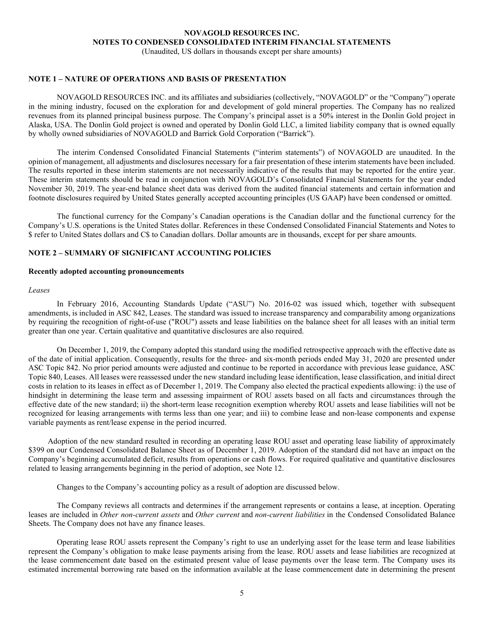(Unaudited, US dollars in thousands except per share amounts)

### **NOTE 1 – NATURE OF OPERATIONS AND BASIS OF PRESENTATION**

NOVAGOLD RESOURCES INC. and its affiliates and subsidiaries (collectively, "NOVAGOLD" or the "Company") operate in the mining industry, focused on the exploration for and development of gold mineral properties. The Company has no realized revenues from its planned principal business purpose. The Company's principal asset is a 50% interest in the Donlin Gold project in Alaska, USA. The Donlin Gold project is owned and operated by Donlin Gold LLC, a limited liability company that is owned equally by wholly owned subsidiaries of NOVAGOLD and Barrick Gold Corporation ("Barrick").

The interim Condensed Consolidated Financial Statements ("interim statements") of NOVAGOLD are unaudited. In the opinion of management, all adjustments and disclosures necessary for a fair presentation of these interim statements have been included. The results reported in these interim statements are not necessarily indicative of the results that may be reported for the entire year. These interim statements should be read in conjunction with NOVAGOLD's Consolidated Financial Statements for the year ended November 30, 2019. The year-end balance sheet data was derived from the audited financial statements and certain information and footnote disclosures required by United States generally accepted accounting principles (US GAAP) have been condensed or omitted.

The functional currency for the Company's Canadian operations is the Canadian dollar and the functional currency for the Company's U.S. operations is the United States dollar. References in these Condensed Consolidated Financial Statements and Notes to \$ refer to United States dollars and C\$ to Canadian dollars. Dollar amounts are in thousands, except for per share amounts.

# **NOTE 2 – SUMMARY OF SIGNIFICANT ACCOUNTING POLICIES**

#### **Recently adopted accounting pronouncements**

#### *Leases*

In February 2016, Accounting Standards Update ("ASU") No. 2016-02 was issued which, together with subsequent amendments, is included in ASC 842, Leases. The standard was issued to increase transparency and comparability among organizations by requiring the recognition of right-of-use ("ROU") assets and lease liabilities on the balance sheet for all leases with an initial term greater than one year. Certain qualitative and quantitative disclosures are also required.

On December 1, 2019, the Company adopted this standard using the modified retrospective approach with the effective date as of the date of initial application. Consequently, results for the three- and six-month periods ended May 31, 2020 are presented under ASC Topic 842. No prior period amounts were adjusted and continue to be reported in accordance with previous lease guidance, ASC Topic 840, Leases. All leases were reassessed under the new standard including lease identification, lease classification, and initial direct costs in relation to its leases in effect as of December 1, 2019. The Company also elected the practical expedients allowing: i) the use of hindsight in determining the lease term and assessing impairment of ROU assets based on all facts and circumstances through the effective date of the new standard; ii) the short-term lease recognition exemption whereby ROU assets and lease liabilities will not be recognized for leasing arrangements with terms less than one year; and iii) to combine lease and non-lease components and expense variable payments as rent/lease expense in the period incurred.

Adoption of the new standard resulted in recording an operating lease ROU asset and operating lease liability of approximately \$399 on our Condensed Consolidated Balance Sheet as of December 1, 2019. Adoption of the standard did not have an impact on the Company's beginning accumulated deficit, results from operations or cash flows. For required qualitative and quantitative disclosures related to leasing arrangements beginning in the period of adoption, see Note 12.

Changes to the Company's accounting policy as a result of adoption are discussed below.

The Company reviews all contracts and determines if the arrangement represents or contains a lease, at inception. Operating leases are included in *Other non-current assets* and *Other current* and *non-current liabilities* in the Condensed Consolidated Balance Sheets. The Company does not have any finance leases.

Operating lease ROU assets represent the Company's right to use an underlying asset for the lease term and lease liabilities represent the Company's obligation to make lease payments arising from the lease. ROU assets and lease liabilities are recognized at the lease commencement date based on the estimated present value of lease payments over the lease term. The Company uses its estimated incremental borrowing rate based on the information available at the lease commencement date in determining the present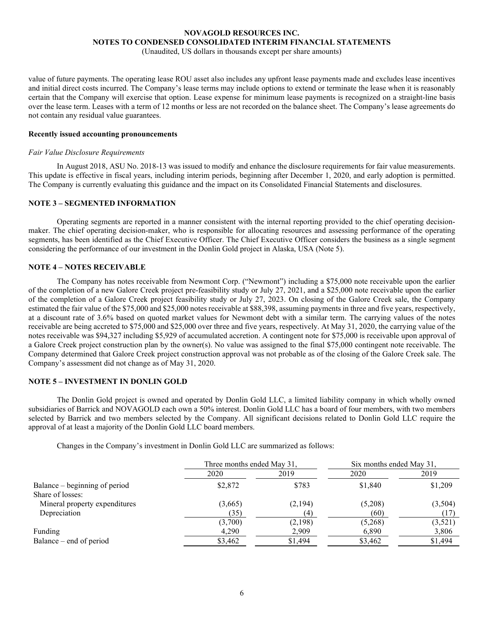(Unaudited, US dollars in thousands except per share amounts)

value of future payments. The operating lease ROU asset also includes any upfront lease payments made and excludes lease incentives and initial direct costs incurred. The Company's lease terms may include options to extend or terminate the lease when it is reasonably certain that the Company will exercise that option. Lease expense for minimum lease payments is recognized on a straight-line basis over the lease term. Leases with a term of 12 months or less are not recorded on the balance sheet. The Company's lease agreements do not contain any residual value guarantees.

#### **Recently issued accounting pronouncements**

#### *Fair Value Disclosure Requirements*

In August 2018, ASU No. 2018-13 was issued to modify and enhance the disclosure requirements for fair value measurements. This update is effective in fiscal years, including interim periods, beginning after December 1, 2020, and early adoption is permitted. The Company is currently evaluating this guidance and the impact on its Consolidated Financial Statements and disclosures.

### **NOTE 3 – SEGMENTED INFORMATION**

Operating segments are reported in a manner consistent with the internal reporting provided to the chief operating decisionmaker. The chief operating decision-maker, who is responsible for allocating resources and assessing performance of the operating segments, has been identified as the Chief Executive Officer. The Chief Executive Officer considers the business as a single segment considering the performance of our investment in the Donlin Gold project in Alaska, USA (Note 5).

### **NOTE 4 – NOTES RECEIVABLE**

The Company has notes receivable from Newmont Corp. ("Newmont") including a \$75,000 note receivable upon the earlier of the completion of a new Galore Creek project pre-feasibility study or July 27, 2021, and a \$25,000 note receivable upon the earlier of the completion of a Galore Creek project feasibility study or July 27, 2023. On closing of the Galore Creek sale, the Company estimated the fair value of the \$75,000 and \$25,000 notes receivable at \$88,398, assuming payments in three and five years, respectively, at a discount rate of 3.6% based on quoted market values for Newmont debt with a similar term. The carrying values of the notes receivable are being accreted to \$75,000 and \$25,000 over three and five years, respectively. At May 31, 2020, the carrying value of the notes receivable was \$94,327 including \$5,929 of accumulated accretion. A contingent note for \$75,000 is receivable upon approval of a Galore Creek project construction plan by the owner(s). No value was assigned to the final \$75,000 contingent note receivable. The Company determined that Galore Creek project construction approval was not probable as of the closing of the Galore Creek sale. The Company's assessment did not change as of May 31, 2020.

### **NOTE 5 – INVESTMENT IN DONLIN GOLD**

The Donlin Gold project is owned and operated by Donlin Gold LLC, a limited liability company in which wholly owned subsidiaries of Barrick and NOVAGOLD each own a 50% interest. Donlin Gold LLC has a board of four members, with two members selected by Barrick and two members selected by the Company. All significant decisions related to Donlin Gold LLC require the approval of at least a majority of the Donlin Gold LLC board members.

Changes in the Company's investment in Donlin Gold LLC are summarized as follows:

|                               |         | Three months ended May 31, |         | Six months ended May 31, |
|-------------------------------|---------|----------------------------|---------|--------------------------|
|                               | 2020    | 2019                       | 2020    | 2019                     |
| Balance – beginning of period | \$2,872 | \$783                      | \$1,840 | \$1,209                  |
| Share of losses:              |         |                            |         |                          |
| Mineral property expenditures | (3,665) | (2,194)                    | (5,208) | (3,504)                  |
| Depreciation                  | (35)    | (4)                        | (60)    | (17)                     |
|                               | (3,700) | (2,198)                    | (5,268) | (3,521)                  |
| Funding                       | 4,290   | 2,909                      | 6,890   | 3,806                    |
| Balance – end of period       | \$3,462 | \$1,494                    | \$3,462 | \$1,494                  |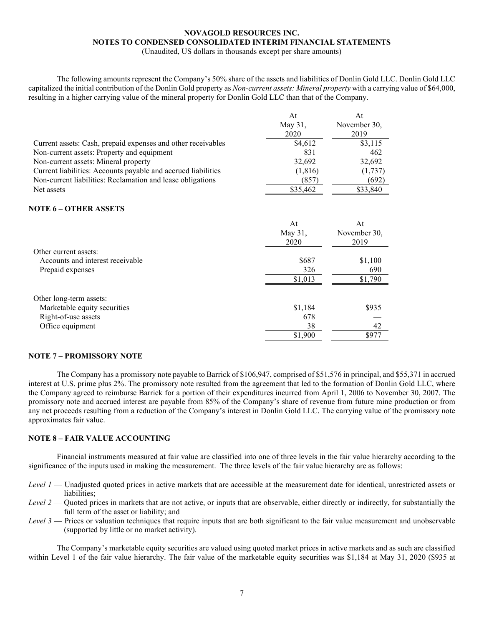(Unaudited, US dollars in thousands except per share amounts)

The following amounts represent the Company's 50% share of the assets and liabilities of Donlin Gold LLC. Donlin Gold LLC capitalized the initial contribution of the Donlin Gold property as *Non-current assets: Mineral property* with a carrying value of \$64,000, resulting in a higher carrying value of the mineral property for Donlin Gold LLC than that of the Company.

|                                                               | At<br>May 31, | At<br>November 30, |
|---------------------------------------------------------------|---------------|--------------------|
|                                                               | 2020          | 2019               |
| Current assets: Cash, prepaid expenses and other receivables  | \$4,612       | \$3,115            |
| Non-current assets: Property and equipment                    | 831           | 462                |
| Non-current assets: Mineral property                          | 32,692        | 32,692             |
| Current liabilities: Accounts payable and accrued liabilities | (1,816)       | (1,737)            |
| Non-current liabilities: Reclamation and lease obligations    | (857          | (692)              |
| Net assets                                                    | \$35,462      | \$33,840           |
| NOTE 6 – OTHER ASSETS                                         |               |                    |

#### At May 31, 2020 At November 30, 2019 Other current assets: Accounts and interest receivable  $$687$  \$1,100<br>Prepaid expenses  $$326$   $$690$ Prepaid expenses 326  $\overline{$1,013}$   $\overline{$1,790}$ Other long-term assets: Marketable equity securities  $$1,184$   $$935$ Right-of-use assets 678 and the set of the set of the set of the set of the set of the set of the set of the set of the set of the set of the set of the set of the set of the set of the set of the set of the set of the set Office equipment 38 42 \$1,900 \$977

# **NOTE 7 – PROMISSORY NOTE**

The Company has a promissory note payable to Barrick of \$106,947, comprised of \$51,576 in principal, and \$55,371 in accrued interest at U.S. prime plus 2%. The promissory note resulted from the agreement that led to the formation of Donlin Gold LLC, where the Company agreed to reimburse Barrick for a portion of their expenditures incurred from April 1, 2006 to November 30, 2007. The promissory note and accrued interest are payable from 85% of the Company's share of revenue from future mine production or from any net proceeds resulting from a reduction of the Company's interest in Donlin Gold LLC. The carrying value of the promissory note approximates fair value.

### **NOTE 8 – FAIR VALUE ACCOUNTING**

Financial instruments measured at fair value are classified into one of three levels in the fair value hierarchy according to the significance of the inputs used in making the measurement. The three levels of the fair value hierarchy are as follows:

- *Level 1* Unadjusted quoted prices in active markets that are accessible at the measurement date for identical, unrestricted assets or liabilities;
- *Level 2* Quoted prices in markets that are not active, or inputs that are observable, either directly or indirectly, for substantially the full term of the asset or liability; and
- *Level 3* Prices or valuation techniques that require inputs that are both significant to the fair value measurement and unobservable (supported by little or no market activity).

The Company's marketable equity securities are valued using quoted market prices in active markets and as such are classified within Level 1 of the fair value hierarchy. The fair value of the marketable equity securities was \$1,184 at May 31, 2020 (\$935 at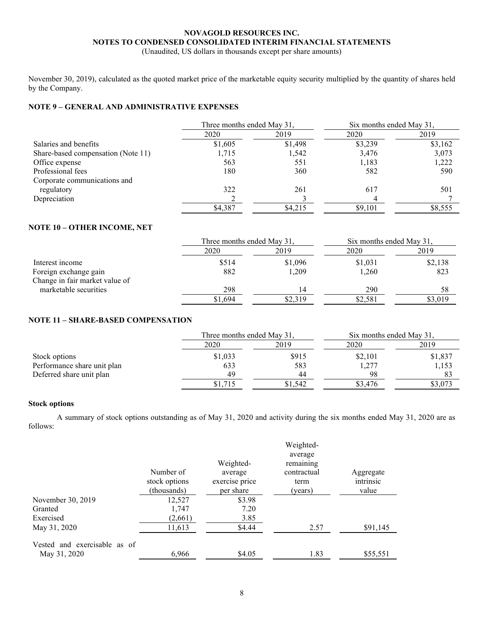(Unaudited, US dollars in thousands except per share amounts)

November 30, 2019), calculated as the quoted market price of the marketable equity security multiplied by the quantity of shares held by the Company.

# **NOTE 9 – GENERAL AND ADMINISTRATIVE EXPENSES**

|                                    | Three months ended May 31, |         | Six months ended May 31, |         |
|------------------------------------|----------------------------|---------|--------------------------|---------|
|                                    | 2020                       | 2019    | 2020                     | 2019    |
| Salaries and benefits              | \$1,605                    | \$1,498 | \$3,239                  | \$3,162 |
| Share-based compensation (Note 11) | 1,715                      | 1,542   | 3,476                    | 3,073   |
| Office expense                     | 563                        | 551     | 1.183                    | 1,222   |
| Professional fees                  | 180                        | 360     | 582                      | 590     |
| Corporate communications and       |                            |         |                          |         |
| regulatory                         | 322                        | 261     | 617                      | 501     |
| Depreciation                       |                            |         |                          |         |
|                                    | \$4,387                    | \$4,215 | \$9,101                  | \$8,555 |

# **NOTE 10 – OTHER INCOME, NET**

|                                | Three months ended May 31, |         | Six months ended May 31, |         |
|--------------------------------|----------------------------|---------|--------------------------|---------|
|                                | 2020                       | 2019    | 2020                     | 2019    |
| Interest income                | \$514                      | \$1,096 | \$1,031                  | \$2,138 |
| Foreign exchange gain          | 882                        | 1,209   | 1,260                    | 823     |
| Change in fair market value of |                            |         |                          |         |
| marketable securities          | 298                        | 14      | 290                      | 58      |
|                                | \$1,694                    | \$2,319 | \$2,581                  | \$3,019 |

# **NOTE 11 – SHARE-BASED COMPENSATION**

|                             | Three months ended May 31, |         | Six months ended May 31. |         |
|-----------------------------|----------------------------|---------|--------------------------|---------|
|                             | 2020                       | 2019    | 2020                     | 2019    |
| Stock options               | \$1,033                    | \$915   | \$2,101                  | \$1,837 |
| Performance share unit plan | 633                        | 583     | 1,277                    | 1,153   |
| Deferred share unit plan    | 49                         | 44      | 98                       | 83      |
|                             | \$1,715                    | \$1.542 | \$3.476                  | \$3,073 |

### **Stock options**

A summary of stock options outstanding as of May 31, 2020 and activity during the six months ended May 31, 2020 are as follows:

|                                              | Number of<br>stock options<br>(thousands) | Weighted-<br>average<br>exercise price<br>per share | Weighted-<br>average<br>remaining<br>contractual<br>term<br>(years) | Aggregate<br>intrinsic<br>value |
|----------------------------------------------|-------------------------------------------|-----------------------------------------------------|---------------------------------------------------------------------|---------------------------------|
| November 30, 2019                            | 12,527                                    | \$3.98                                              |                                                                     |                                 |
| Granted                                      | 1,747                                     | 7.20                                                |                                                                     |                                 |
| Exercised                                    | (2,661)                                   | 3.85                                                |                                                                     |                                 |
| May 31, 2020                                 | 11,613                                    | \$4.44                                              | 2.57                                                                | \$91,145                        |
| Vested and exercisable as of<br>May 31, 2020 | 6,966                                     | \$4.05                                              | 1.83                                                                | \$55,551                        |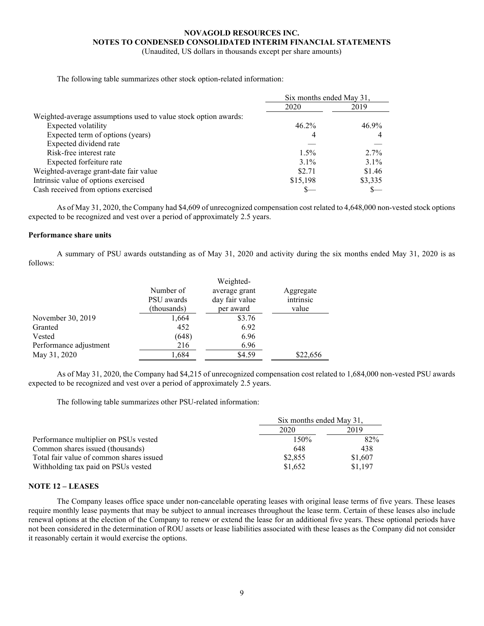(Unaudited, US dollars in thousands except per share amounts)

The following table summarizes other stock option-related information:

|                                                                 | Six months ended May 31, |         |
|-----------------------------------------------------------------|--------------------------|---------|
|                                                                 | 2020                     | 2019    |
| Weighted-average assumptions used to value stock option awards: |                          |         |
| Expected volatility                                             | $46.2\%$                 | 46.9%   |
| Expected term of options (years)                                | 4                        |         |
| Expected dividend rate                                          |                          |         |
| Risk-free interest rate                                         | $1.5\%$                  | $2.7\%$ |
| Expected forfeiture rate                                        | $3.1\%$                  | $3.1\%$ |
| Weighted-average grant-date fair value                          | \$2.71                   | \$1.46  |
| Intrinsic value of options exercised                            | \$15,198                 | \$3,335 |
| Cash received from options exercised                            |                          |         |

As of May 31, 2020, the Company had \$4,609 of unrecognized compensation cost related to 4,648,000 non-vested stock options expected to be recognized and vest over a period of approximately 2.5 years.

### **Performance share units**

A summary of PSU awards outstanding as of May 31, 2020 and activity during the six months ended May 31, 2020 is as follows:

|                        | Number of   | average grant  | Aggregate |
|------------------------|-------------|----------------|-----------|
|                        | PSU awards  | day fair value | intrinsic |
|                        | (thousands) | per award      | value     |
| November 30, 2019      | 1,664       | \$3.76         |           |
| Granted                | 452         | 6.92           |           |
| Vested                 | (648)       | 6.96           |           |
| Performance adjustment | 216         | 6.96           |           |
| May 31, 2020           | 1,684       | \$4.59         | \$22,656  |

As of May 31, 2020, the Company had \$4,215 of unrecognized compensation cost related to 1,684,000 non-vested PSU awards expected to be recognized and vest over a period of approximately 2.5 years.

The following table summarizes other PSU-related information:

|                                          | Six months ended May 31, |         |
|------------------------------------------|--------------------------|---------|
|                                          | 2020                     | 2019    |
| Performance multiplier on PSUs vested    | 150%                     | 82%     |
| Common shares issued (thousands)         | 648                      | 438     |
| Total fair value of common shares issued | \$2,855                  | \$1,607 |
| Withholding tax paid on PSUs vested      | \$1,652                  | \$1,197 |

### **NOTE 12 – LEASES**

The Company leases office space under non-cancelable operating leases with original lease terms of five years. These leases require monthly lease payments that may be subject to annual increases throughout the lease term. Certain of these leases also include renewal options at the election of the Company to renew or extend the lease for an additional five years. These optional periods have not been considered in the determination of ROU assets or lease liabilities associated with these leases as the Company did not consider it reasonably certain it would exercise the options.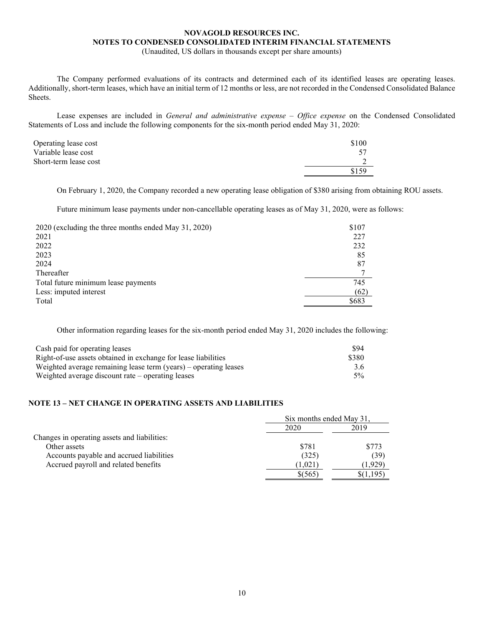(Unaudited, US dollars in thousands except per share amounts)

The Company performed evaluations of its contracts and determined each of its identified leases are operating leases. Additionally, short-term leases, which have an initial term of 12 months or less, are not recorded in the Condensed Consolidated Balance Sheets.

Lease expenses are included in *General and administrative expense – Office expense* on the Condensed Consolidated Statements of Loss and include the following components for the six-month period ended May 31, 2020:

| Operating lease cost  | \$100 |
|-----------------------|-------|
| Variable lease cost   |       |
| Short-term lease cost |       |
|                       | \$159 |
|                       |       |

On February 1, 2020, the Company recorded a new operating lease obligation of \$380 arising from obtaining ROU assets.

Future minimum lease payments under non-cancellable operating leases as of May 31, 2020, were as follows:

| 2020 (excluding the three months ended May 31, 2020) | \$107 |
|------------------------------------------------------|-------|
| 2021                                                 | 227   |
| 2022                                                 | 232   |
| 2023                                                 | 85    |
| 2024                                                 | 87    |
| Thereafter                                           |       |
| Total future minimum lease payments                  | 745   |
| Less: imputed interest                               | (62)  |
| Total                                                | \$683 |

Other information regarding leases for the six-month period ended May 31, 2020 includes the following:

| Cash paid for operating leases                                   | \$94  |
|------------------------------------------------------------------|-------|
| Right-of-use assets obtained in exchange for lease liabilities   | \$380 |
| Weighted average remaining lease term (years) – operating leases | 3.6   |
| Weighted average discount rate $-\rho$ operating leases          | 5%    |

### **NOTE 13 – NET CHANGE IN OPERATING ASSETS AND LIABILITIES**

|                                              | Six months ended May 31. |         |
|----------------------------------------------|--------------------------|---------|
|                                              | 2020                     | 2019    |
| Changes in operating assets and liabilities: |                          |         |
| Other assets                                 | \$781                    | \$773   |
| Accounts payable and accrued liabilities     | (325)                    | (39)    |
| Accrued payroll and related benefits         | 1,021                    | (1.929) |
|                                              | \$(565)                  |         |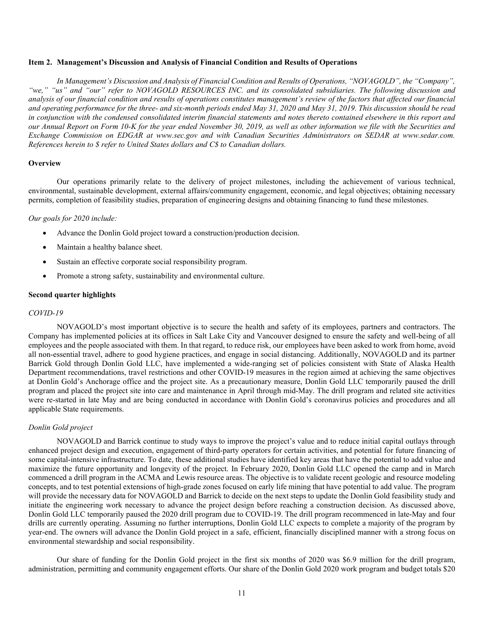#### <span id="page-15-0"></span>**Item 2. Management's Discussion and Analysis of Financial Condition and Results of Operations**

*In Management's Discussion and Analysis of Financial Condition and Results of Operations, "NOVAGOLD", the "Company", "we," "us" and "our" refer to NOVAGOLD RESOURCES INC. and its consolidated subsidiaries. The following discussion and analysis of our financial condition and results of operations constitutes management's review of the factors that affected our financial and operating performance for the three- and six-month periods ended May 31, 2020 and May 31, 2019. This discussion should be read in conjunction with the condensed consolidated interim financial statements and notes thereto contained elsewhere in this report and our Annual Report on Form 10-K for the year ended November 30, 2019, as well as other information we file with the Securities and Exchange Commission on EDGAR at www.sec.gov and with Canadian Securities Administrators on SEDAR at www.sedar.com. References herein to \$ refer to United States dollars and C\$ to Canadian dollars.*

#### **Overview**

Our operations primarily relate to the delivery of project milestones, including the achievement of various technical, environmental, sustainable development, external affairs/community engagement, economic, and legal objectives; obtaining necessary permits, completion of feasibility studies, preparation of engineering designs and obtaining financing to fund these milestones.

#### *Our goals for 2020 include:*

- Advance the Donlin Gold project toward a construction/production decision.
- Maintain a healthy balance sheet.
- Sustain an effective corporate social responsibility program.
- Promote a strong safety, sustainability and environmental culture.

#### **Second quarter highlights**

#### *COVID-19*

NOVAGOLD's most important objective is to secure the health and safety of its employees, partners and contractors. The Company has implemented policies at its offices in Salt Lake City and Vancouver designed to ensure the safety and well-being of all employees and the people associated with them. In that regard, to reduce risk, our employees have been asked to work from home, avoid all non-essential travel, adhere to good hygiene practices, and engage in social distancing. Additionally, NOVAGOLD and its partner Barrick Gold through Donlin Gold LLC, have implemented a wide-ranging set of policies consistent with State of Alaska Health Department recommendations, travel restrictions and other COVID-19 measures in the region aimed at achieving the same objectives at Donlin Gold's Anchorage office and the project site. As a precautionary measure, Donlin Gold LLC temporarily paused the drill program and placed the project site into care and maintenance in April through mid-May. The drill program and related site activities were re-started in late May and are being conducted in accordance with Donlin Gold's coronavirus policies and procedures and all applicable State requirements.

### *Donlin Gold project*

NOVAGOLD and Barrick continue to study ways to improve the project's value and to reduce initial capital outlays through enhanced project design and execution, engagement of third-party operators for certain activities, and potential for future financing of some capital-intensive infrastructure. To date, these additional studies have identified key areas that have the potential to add value and maximize the future opportunity and longevity of the project. In February 2020, Donlin Gold LLC opened the camp and in March commenced a drill program in the ACMA and Lewis resource areas. The objective is to validate recent geologic and resource modeling concepts, and to test potential extensions of high-grade zones focused on early life mining that have potential to add value. The program will provide the necessary data for NOVAGOLD and Barrick to decide on the next steps to update the Donlin Gold feasibility study and initiate the engineering work necessary to advance the project design before reaching a construction decision. As discussed above, Donlin Gold LLC temporarily paused the 2020 drill program due to COVID-19. The drill program recommenced in late-May and four drills are currently operating. Assuming no further interruptions, Donlin Gold LLC expects to complete a majority of the program by year-end. The owners will advance the Donlin Gold project in a safe, efficient, financially disciplined manner with a strong focus on environmental stewardship and social responsibility.

Our share of funding for the Donlin Gold project in the first six months of 2020 was \$6.9 million for the drill program, administration, permitting and community engagement efforts. Our share of the Donlin Gold 2020 work program and budget totals \$20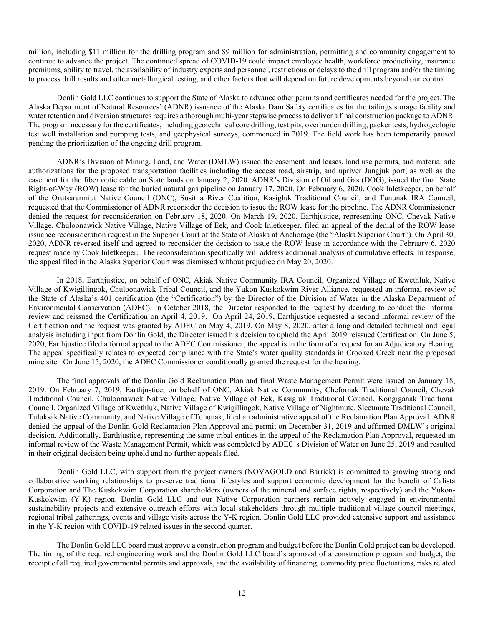million, including \$11 million for the drilling program and \$9 million for administration, permitting and community engagement to continue to advance the project. The continued spread of COVID-19 could impact employee health, workforce productivity, insurance premiums, ability to travel, the availability of industry experts and personnel, restrictions or delays to the drill program and/or the timing to process drill results and other metallurgical testing, and other factors that will depend on future developments beyond our control.

Donlin Gold LLC continues to support the State of Alaska to advance other permits and certificates needed for the project. The Alaska Department of Natural Resources' (ADNR) issuance of the Alaska Dam Safety certificates for the tailings storage facility and water retention and diversion structures requires a thorough multi-year stepwise process to deliver a final construction package to ADNR. The program necessary for the certificates, including geotechnical core drilling, test pits, overburden drilling, packer tests, hydrogeologic test well installation and pumping tests, and geophysical surveys, commenced in 2019. The field work has been temporarily paused pending the prioritization of the ongoing drill program.

ADNR's Division of Mining, Land, and Water (DMLW) issued the easement land leases, land use permits, and material site authorizations for the proposed transportation facilities including the access road, airstrip, and upriver Jungjuk port, as well as the easement for the fiber optic cable on State lands on January 2, 2020. ADNR's Division of Oil and Gas (DOG), issued the final State Right-of-Way (ROW) lease for the buried natural gas pipeline on January 17, 2020. On February 6, 2020, Cook Inletkeeper, on behalf of the Orutsararmiut Native Council (ONC), Susitna River Coalition, Kasigluk Traditional Council, and Tununak IRA Council, requested that the Commissioner of ADNR reconsider the decision to issue the ROW lease for the pipeline. The ADNR Commissioner denied the request for reconsideration on February 18, 2020. On March 19, 2020, Earthjustice, representing ONC, Chevak Native Village, Chuloonawick Native Village, Native Village of Eek, and Cook Inletkeeper, filed an appeal of the denial of the ROW lease issuance reconsideration request in the Superior Court of the State of Alaska at Anchorage (the "Alaska Superior Court"). On April 30, 2020, ADNR reversed itself and agreed to reconsider the decision to issue the ROW lease in accordance with the February 6, 2020 request made by Cook Inletkeeper. The reconsideration specifically will address additional analysis of cumulative effects. In response, the appeal filed in the Alaska Superior Court was dismissed without prejudice on May 20, 2020.

In 2018, Earthjustice, on behalf of ONC, Akiak Native Community IRA Council, Organized Village of Kwethluk, Native Village of Kwigillingok, Chuloonawick Tribal Council, and the Yukon-Kuskokwim River Alliance, requested an informal review of the State of Alaska's 401 certification (the "Certification") by the Director of the Division of Water in the Alaska Department of Environmental Conservation (ADEC). In October 2018, the Director responded to the request by deciding to conduct the informal review and reissued the Certification on April 4, 2019. On April 24, 2019, Earthjustice requested a second informal review of the Certification and the request was granted by ADEC on May 4, 2019. On May 8, 2020, after a long and detailed technical and legal analysis including input from Donlin Gold, the Director issued his decision to uphold the April 2019 reissued Certification. On June 5, 2020, Earthjustice filed a formal appeal to the ADEC Commissioner; the appeal is in the form of a request for an Adjudicatory Hearing. The appeal specifically relates to expected compliance with the State's water quality standards in Crooked Creek near the proposed mine site. On June 15, 2020, the ADEC Commissioner conditionally granted the request for the hearing.

The final approvals of the Donlin Gold Reclamation Plan and final Waste Management Permit were issued on January 18, 2019. On February 7, 2019, Earthjustice, on behalf of ONC, Akiak Native Community, Chefornak Traditional Council, Chevak Traditional Council, Chuloonawick Native Village, Native Village of Eek, Kasigluk Traditional Council, Kongiganak Traditional Council, Organized Village of Kwethluk, Native Village of Kwigillingok, Native Village of Nightmute, Sleetmute Traditional Council, Tuluksak Native Community, and Native Village of Tununak, filed an administrative appeal of the Reclamation Plan Approval. ADNR denied the appeal of the Donlin Gold Reclamation Plan Approval and permit on December 31, 2019 and affirmed DMLW's original decision. Additionally, Earthjustice, representing the same tribal entities in the appeal of the Reclamation Plan Approval, requested an informal review of the Waste Management Permit, which was completed by ADEC's Division of Water on June 25, 2019 and resulted in their original decision being upheld and no further appeals filed.

Donlin Gold LLC, with support from the project owners (NOVAGOLD and Barrick) is committed to growing strong and collaborative working relationships to preserve traditional lifestyles and support economic development for the benefit of Calista Corporation and The Kuskokwim Corporation shareholders (owners of the mineral and surface rights, respectively) and the Yukon-Kuskokwim (Y-K) region. Donlin Gold LLC and our Native Corporation partners remain actively engaged in environmental sustainability projects and extensive outreach efforts with local stakeholders through multiple traditional village council meetings, regional tribal gatherings, events and village visits across the Y-K region. Donlin Gold LLC provided extensive support and assistance in the Y-K region with COVID-19 related issues in the second quarter.

The Donlin Gold LLC board must approve a construction program and budget before the Donlin Gold project can be developed. The timing of the required engineering work and the Donlin Gold LLC board's approval of a construction program and budget, the receipt of all required governmental permits and approvals, and the availability of financing, commodity price fluctuations, risks related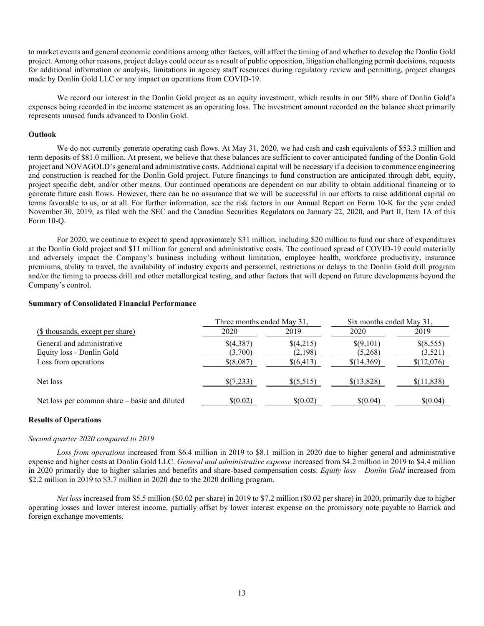to market events and general economic conditions among other factors, will affect the timing of and whether to develop the Donlin Gold project. Among other reasons, project delays could occur as a result of public opposition, litigation challenging permit decisions, requests for additional information or analysis, limitations in agency staff resources during regulatory review and permitting, project changes made by Donlin Gold LLC or any impact on operations from COVID-19.

We record our interest in the Donlin Gold project as an equity investment, which results in our 50% share of Donlin Gold's expenses being recorded in the income statement as an operating loss. The investment amount recorded on the balance sheet primarily represents unused funds advanced to Donlin Gold.

#### **Outlook**

We do not currently generate operating cash flows. At May 31, 2020, we had cash and cash equivalents of \$53.3 million and term deposits of \$81.0 million. At present, we believe that these balances are sufficient to cover anticipated funding of the Donlin Gold project and NOVAGOLD's general and administrative costs. Additional capital will be necessary if a decision to commence engineering and construction is reached for the Donlin Gold project. Future financings to fund construction are anticipated through debt, equity, project specific debt, and/or other means. Our continued operations are dependent on our ability to obtain additional financing or to generate future cash flows. However, there can be no assurance that we will be successful in our efforts to raise additional capital on terms favorable to us, or at all. For further information, see the risk factors in our Annual Report on Form 10-K for the year ended November 30, 2019, as filed with the SEC and the Canadian Securities Regulators on January 22, 2020, and Part II, Item 1A of this Form 10-Q.

For 2020, we continue to expect to spend approximately \$31 million, including \$20 million to fund our share of expenditures at the Donlin Gold project and \$11 million for general and administrative costs. The continued spread of COVID-19 could materially and adversely impact the Company's business including without limitation, employee health, workforce productivity, insurance premiums, ability to travel, the availability of industry experts and personnel, restrictions or delays to the Donlin Gold drill program and/or the timing to process drill and other metallurgical testing, and other factors that will depend on future developments beyond the Company's control.

#### **Summary of Consolidated Financial Performance**

|                                               | Three months ended May 31, |             | Six months ended May 31, |            |
|-----------------------------------------------|----------------------------|-------------|--------------------------|------------|
| (\$ thousands, except per share)              | 2020                       | 2019        | 2020                     | 2019       |
| General and administrative                    | \$(4,387)                  | \$(4,215)   | \$(9,101)                | \$(8,555)  |
| Equity loss - Donlin Gold                     | (3,700)                    | (2,198)     | (5,268)                  | (3,521)    |
| Loss from operations                          | $$$ (8,087)                | \$(6,413)   | \$(14,369)               | \$(12,076) |
| Net loss                                      | \$(7,233)                  | $\{(5,515)$ | \$(13,828)               | \$(11,838) |
| Net loss per common share – basic and diluted | \$(0.02)                   | \$(0.02)    | \$(0.04)                 | \$(0.04)   |

#### **Results of Operations**

#### *Second quarter 2020 compared to 2019*

*Loss from operations* increased from \$6.4 million in 2019 to \$8.1 million in 2020 due to higher general and administrative expense and higher costs at Donlin Gold LLC. *General and administrative expense* increased from \$4.2 million in 2019 to \$4.4 million in 2020 primarily due to higher salaries and benefits and share-based compensation costs. *Equity loss – Donlin Gold* increased from \$2.2 million in 2019 to \$3.7 million in 2020 due to the 2020 drilling program.

*Net loss* increased from \$5.5 million (\$0.02 per share) in 2019 to \$7.2 million (\$0.02 per share) in 2020, primarily due to higher operating losses and lower interest income, partially offset by lower interest expense on the promissory note payable to Barrick and foreign exchange movements.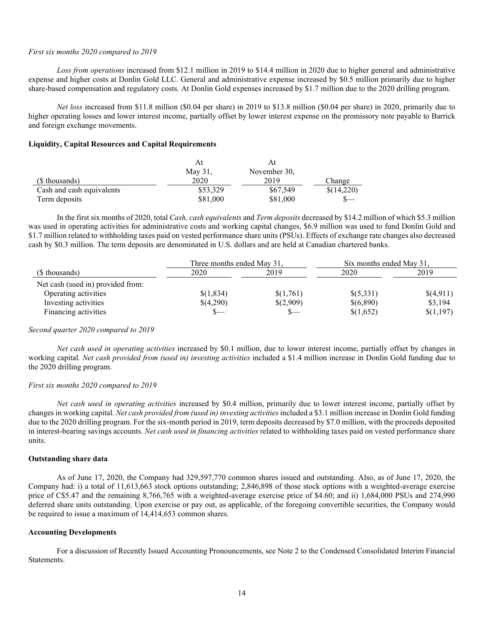#### *First six months 2020 compared to 2019*

*Loss from operations* increased from \$12.1 million in 2019 to \$14.4 million in 2020 due to higher general and administrative expense and higher costs at Donlin Gold LLC. General and administrative expense increased by \$0.5 million primarily due to higher share-based compensation and regulatory costs. At Donlin Gold expenses increased by \$1.7 million due to the 2020 drilling program.

*Net loss* increased from \$11.8 million (\$0.04 per share) in 2019 to \$13.8 million (\$0.04 per share) in 2020, primarily due to higher operating losses and lower interest income, partially offset by lower interest expense on the promissory note payable to Barrick and foreign exchange movements.

#### **Liquidity, Capital Resources and Capital Requirements**

|                           |          | Αt           |            |
|---------------------------|----------|--------------|------------|
|                           | May 31,  | November 30, |            |
| (\$ thousands)            | 2020     | 2019         | Change     |
| Cash and cash equivalents | \$53,329 | \$67,549     | \$(14,220) |
| Term deposits             | \$81,000 | \$81,000     |            |

In the first six months of 2020, total *Cash, cash equivalents* and *Term deposits* decreased by \$14.2 million of which \$5.3 million was used in operating activities for administrative costs and working capital changes, \$6.9 million was used to fund Donlin Gold and \$1.7 million related to withholding taxes paid on vested performance share units (PSUs). Effects of exchange rate changes also decreased cash by \$0.3 million. The term deposits are denominated in U.S. dollars and are held at Canadian chartered banks.

|                                   | Three months ended May 31, |           | Six months ended May 31, |           |
|-----------------------------------|----------------------------|-----------|--------------------------|-----------|
| (\$ thousands)                    | 2020                       | 2019      | 2020                     | 2019      |
| Net cash (used in) provided from: |                            |           |                          |           |
| Operating activities              | \$(1,834)                  | \$(1,761) | \$(5,331)                | \$(4,911) |
| Investing activities              | \$(4,290)                  | \$(2,909) | \$(6,890)                | \$3,194   |
| Financing activities              |                            |           | \$(1,652)                | \$(1,197) |

#### *Second quarter 2020 compared to 2019*

*Net cash used in operating activities* increased by \$0.1 million, due to lower interest income, partially offset by changes in working capital. *Net cash provided from (used in) investing activities* included a \$1.4 million increase in Donlin Gold funding due to the 2020 drilling program.

#### *First six months 2020 compared to 2019*

*Net cash used in operating activities* increased by \$0.4 million, primarily due to lower interest income, partially offset by changes in working capital. *Net cash provided from (used in) investing activities* included a \$3.1 million increase in Donlin Gold funding due to the 2020 drilling program. For the six-month period in 2019, term deposits decreased by \$7.0 million, with the proceeds deposited in interest-bearing savings accounts. *Net cash used in financing activities* related to withholding taxes paid on vested performance share units.

#### **Outstanding share data**

As of June 17, 2020, the Company had 329,597,770 common shares issued and outstanding. Also, as of June 17, 2020, the Company had: i) a total of 11,613,663 stock options outstanding; 2,846,898 of those stock options with a weighted-average exercise price of C\$5.47 and the remaining 8,766,765 with a weighted-average exercise price of \$4.60; and ii) 1,684,000 PSUs and 274,990 deferred share units outstanding. Upon exercise or pay out, as applicable, of the foregoing convertible securities, the Company would be required to issue a maximum of 14,414,653 common shares.

#### **Accounting Developments**

For a discussion of Recently Issued Accounting Pronouncements, see Note 2 to the Condensed Consolidated Interim Financial Statements.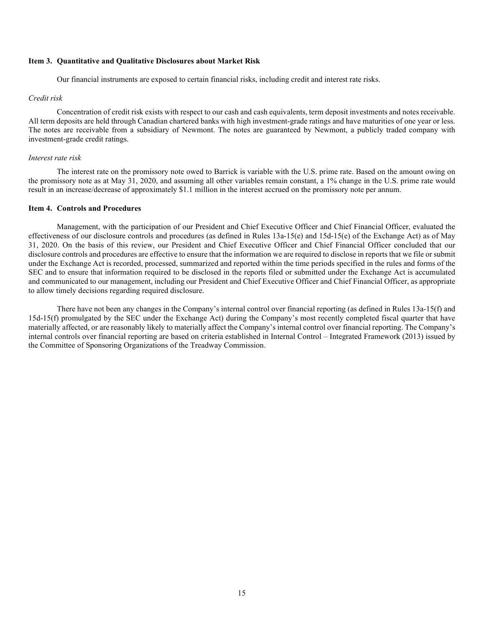### <span id="page-19-1"></span><span id="page-19-0"></span>**Item 3. Quantitative and Qualitative Disclosures about Market Risk**

Our financial instruments are exposed to certain financial risks, including credit and interest rate risks.

#### *Credit risk*

Concentration of credit risk exists with respect to our cash and cash equivalents, term deposit investments and notes receivable. All term deposits are held through Canadian chartered banks with high investment-grade ratings and have maturities of one year or less. The notes are receivable from a subsidiary of Newmont. The notes are guaranteed by Newmont, a publicly traded company with investment-grade credit ratings.

### *Interest rate risk*

The interest rate on the promissory note owed to Barrick is variable with the U.S. prime rate. Based on the amount owing on the promissory note as at May 31, 2020, and assuming all other variables remain constant, a 1% change in the U.S. prime rate would result in an increase/decrease of approximately \$1.1 million in the interest accrued on the promissory note per annum.

### **Item 4. Controls and Procedures**

Management, with the participation of our President and Chief Executive Officer and Chief Financial Officer, evaluated the effectiveness of our disclosure controls and procedures (as defined in Rules 13a-15(e) and 15d-15(e) of the Exchange Act) as of May 31, 2020. On the basis of this review, our President and Chief Executive Officer and Chief Financial Officer concluded that our disclosure controls and procedures are effective to ensure that the information we are required to disclose in reports that we file or submit under the Exchange Act is recorded, processed, summarized and reported within the time periods specified in the rules and forms of the SEC and to ensure that information required to be disclosed in the reports filed or submitted under the Exchange Act is accumulated and communicated to our management, including our President and Chief Executive Officer and Chief Financial Officer, as appropriate to allow timely decisions regarding required disclosure.

There have not been any changes in the Company's internal control over financial reporting (as defined in Rules 13a-15(f) and 15d-15(f) promulgated by the SEC under the Exchange Act) during the Company's most recently completed fiscal quarter that have materially affected, or are reasonably likely to materially affect the Company's internal control over financial reporting. The Company's internal controls over financial reporting are based on criteria established in Internal Control – Integrated Framework (2013) issued by the Committee of Sponsoring Organizations of the Treadway Commission.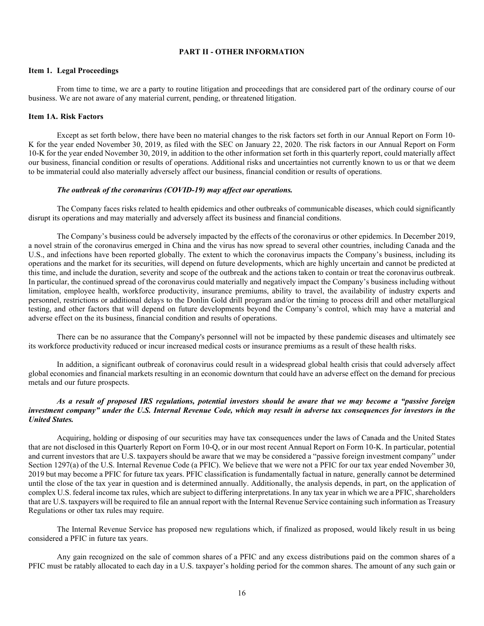### <span id="page-20-0"></span>**PART II - OTHER INFORMATION**

#### <span id="page-20-1"></span>**Item 1. Legal Proceedings**

From time to time, we are a party to routine litigation and proceedings that are considered part of the ordinary course of our business. We are not aware of any material current, pending, or threatened litigation.

### <span id="page-20-2"></span>**Item 1A. Risk Factors**

Except as set forth below, there have been no material changes to the risk factors set forth in our Annual Report on Form 10- K for the year ended November 30, 2019, as filed with the SEC on January 22, 2020. The risk factors in our Annual Report on Form 10-K for the year ended November 30, 2019, in addition to the other information set forth in this quarterly report, could materially affect our business, financial condition or results of operations. Additional risks and uncertainties not currently known to us or that we deem to be immaterial could also materially adversely affect our business, financial condition or results of operations.

#### *The outbreak of the coronavirus (COVID-19) may affect our operations.*

The Company faces risks related to health epidemics and other outbreaks of communicable diseases, which could significantly disrupt its operations and may materially and adversely affect its business and financial conditions.

The Company's business could be adversely impacted by the effects of the coronavirus or other epidemics. In December 2019, a novel strain of the coronavirus emerged in China and the virus has now spread to several other countries, including Canada and the U.S., and infections have been reported globally. The extent to which the coronavirus impacts the Company's business, including its operations and the market for its securities, will depend on future developments, which are highly uncertain and cannot be predicted at this time, and include the duration, severity and scope of the outbreak and the actions taken to contain or treat the coronavirus outbreak. In particular, the continued spread of the coronavirus could materially and negatively impact the Company's business including without limitation, employee health, workforce productivity, insurance premiums, ability to travel, the availability of industry experts and personnel, restrictions or additional delays to the Donlin Gold drill program and/or the timing to process drill and other metallurgical testing, and other factors that will depend on future developments beyond the Company's control, which may have a material and adverse effect on the its business, financial condition and results of operations.

There can be no assurance that the Company's personnel will not be impacted by these pandemic diseases and ultimately see its workforce productivity reduced or incur increased medical costs or insurance premiums as a result of these health risks.

In addition, a significant outbreak of coronavirus could result in a widespread global health crisis that could adversely affect global economies and financial markets resulting in an economic downturn that could have an adverse effect on the demand for precious metals and our future prospects.

### *As a result of proposed IRS regulations, potential investors should be aware that we may become a "passive foreign investment company" under the U.S. Internal Revenue Code, which may result in adverse tax consequences for investors in the United States.*

Acquiring, holding or disposing of our securities may have tax consequences under the laws of Canada and the United States that are not disclosed in this Quarterly Report on Form 10-Q, or in our most recent Annual Report on Form 10-K. In particular, potential and current investors that are U.S. taxpayers should be aware that we may be considered a "passive foreign investment company" under Section 1297(a) of the U.S. Internal Revenue Code (a PFIC). We believe that we were not a PFIC for our tax year ended November 30, 2019 but may become a PFIC for future tax years. PFIC classification is fundamentally factual in nature, generally cannot be determined until the close of the tax year in question and is determined annually. Additionally, the analysis depends, in part, on the application of complex U.S. federal income tax rules, which are subject to differing interpretations. In any tax year in which we are a PFIC, shareholders that are U.S. taxpayers will be required to file an annual report with the Internal Revenue Service containing such information as Treasury Regulations or other tax rules may require.

The Internal Revenue Service has proposed new regulations which, if finalized as proposed, would likely result in us being considered a PFIC in future tax years.

Any gain recognized on the sale of common shares of a PFIC and any excess distributions paid on the common shares of a PFIC must be ratably allocated to each day in a U.S. taxpayer's holding period for the common shares. The amount of any such gain or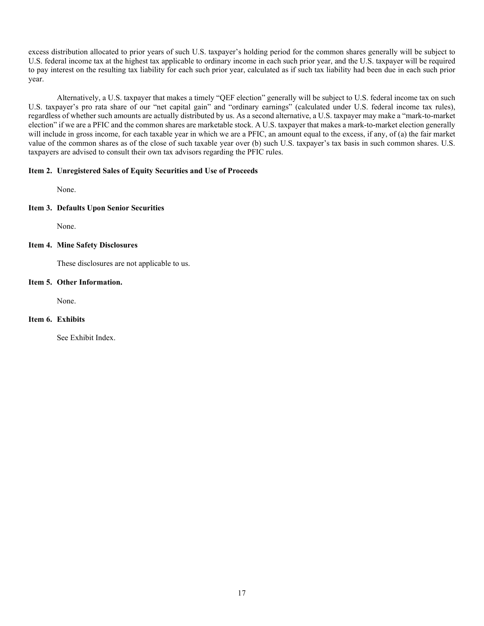excess distribution allocated to prior years of such U.S. taxpayer's holding period for the common shares generally will be subject to U.S. federal income tax at the highest tax applicable to ordinary income in each such prior year, and the U.S. taxpayer will be required to pay interest on the resulting tax liability for each such prior year, calculated as if such tax liability had been due in each such prior year.

Alternatively, a U.S. taxpayer that makes a timely "QEF election" generally will be subject to U.S. federal income tax on such U.S. taxpayer's pro rata share of our "net capital gain" and "ordinary earnings" (calculated under U.S. federal income tax rules), regardless of whether such amounts are actually distributed by us. As a second alternative, a U.S. taxpayer may make a "mark-to-market election" if we are a PFIC and the common shares are marketable stock. A U.S. taxpayer that makes a mark-to-market election generally will include in gross income, for each taxable year in which we are a PFIC, an amount equal to the excess, if any, of (a) the fair market value of the common shares as of the close of such taxable year over (b) such U.S. taxpayer's tax basis in such common shares. U.S. taxpayers are advised to consult their own tax advisors regarding the PFIC rules.

### <span id="page-21-0"></span>**Item 2. Unregistered Sales of Equity Securities and Use of Proceeds**

None.

# <span id="page-21-1"></span>**Item 3. Defaults Upon Senior Securities**

None.

# <span id="page-21-2"></span>**Item 4. Mine Safety Disclosures**

These disclosures are not applicable to us.

### <span id="page-21-3"></span>**Item 5. Other Information.**

None.

# <span id="page-21-4"></span>**Item 6. Exhibits**

See Exhibit Index.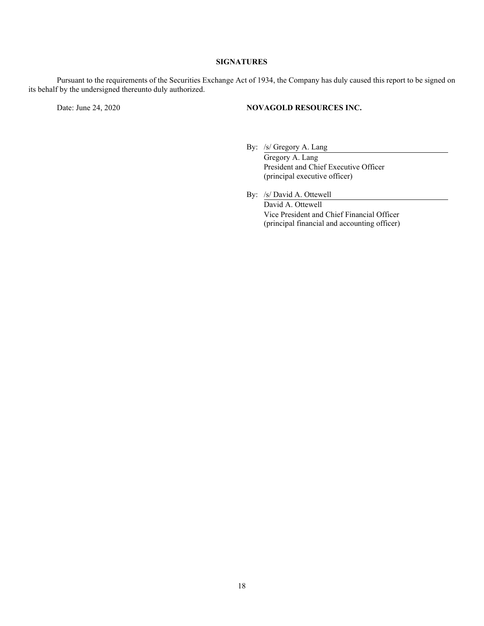# **SIGNATURES**

Pursuant to the requirements of the Securities Exchange Act of 1934, the Company has duly caused this report to be signed on its behalf by the undersigned thereunto duly authorized.

## Date: June 24, 2020 **NOVAGOLD RESOURCES INC.**

By: /s/ Gregory A. Lang

Gregory A. Lang President and Chief Executive Officer (principal executive officer)

By: /s/ David A. Ottewell David A. Ottewell Vice President and Chief Financial Officer (principal financial and accounting officer)